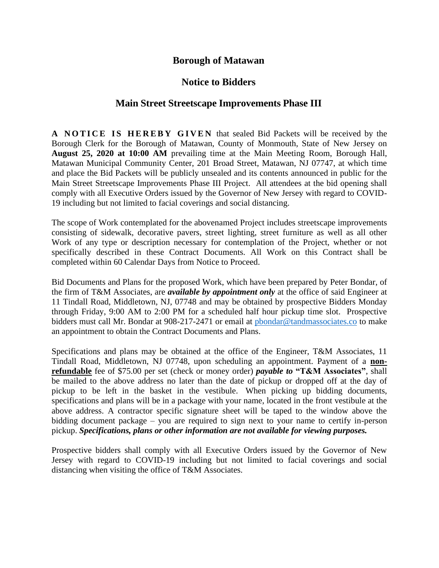## **Borough of Matawan**

## **Notice to Bidders**

## **Main Street Streetscape Improvements Phase III**

**A NOTICE IS HEREBY GIVEN** that sealed Bid Packets will be received by the Borough Clerk for the Borough of Matawan, County of Monmouth, State of New Jersey on **August 25, 2020 at 10:00 AM** prevailing time at the Main Meeting Room, Borough Hall, Matawan Municipal Community Center, 201 Broad Street, Matawan, NJ 07747, at which time and place the Bid Packets will be publicly unsealed and its contents announced in public for the Main Street Streetscape Improvements Phase III Project. All attendees at the bid opening shall comply with all Executive Orders issued by the Governor of New Jersey with regard to COVID-19 including but not limited to facial coverings and social distancing.

The scope of Work contemplated for the abovenamed Project includes streetscape improvements consisting of sidewalk, decorative pavers, street lighting, street furniture as well as all other Work of any type or description necessary for contemplation of the Project, whether or not specifically described in these Contract Documents. All Work on this Contract shall be completed within 60 Calendar Days from Notice to Proceed.

Bid Documents and Plans for the proposed Work, which have been prepared by Peter Bondar, of the firm of T&M Associates, are *available by appointment only* at the office of said Engineer at 11 Tindall Road, Middletown, NJ, 07748 and may be obtained by prospective Bidders Monday through Friday, 9:00 AM to 2:00 PM for a scheduled half hour pickup time slot. Prospective bidders must call Mr. Bondar at 908-217-2471 or email at [pbondar@tandmassociates.co](mailto:pbondar@tandmassociates.co) to make an appointment to obtain the Contract Documents and Plans.

Specifications and plans may be obtained at the office of the Engineer, T&M Associates, 11 Tindall Road, Middletown, NJ 07748, upon scheduling an appointment. Payment of a **nonrefundable** fee of \$75.00 per set (check or money order) *payable to* **"T&M Associates"**, shall be mailed to the above address no later than the date of pickup or dropped off at the day of pickup to be left in the basket in the vestibule. When picking up bidding documents, specifications and plans will be in a package with your name, located in the front vestibule at the above address. A contractor specific signature sheet will be taped to the window above the bidding document package – you are required to sign next to your name to certify in-person pickup. *Specifications, plans or other information are not available for viewing purposes.*

Prospective bidders shall comply with all Executive Orders issued by the Governor of New Jersey with regard to COVID-19 including but not limited to facial coverings and social distancing when visiting the office of T&M Associates.